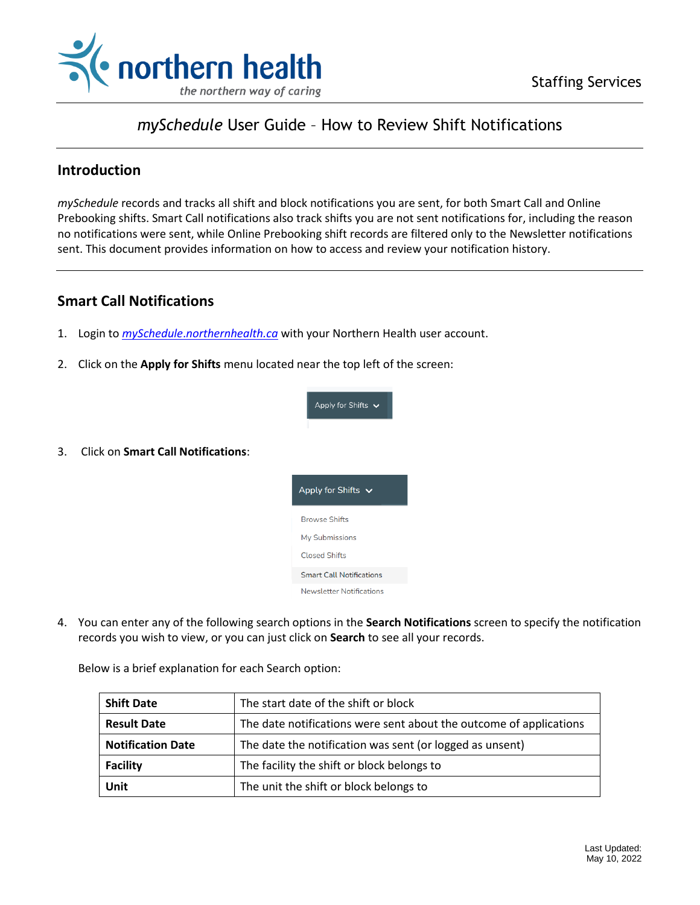

## *mySchedule* User Guide – How to Review Shift Notifications

## **Introduction**

*mySchedule* records and tracks all shift and block notifications you are sent, for both Smart Call and Online Prebooking shifts. Smart Call notifications also track shifts you are not sent notifications for, including the reason no notifications were sent, while Online Prebooking shift records are filtered only to the Newsletter notifications sent. This document provides information on how to access and review your notification history.

## **Smart Call Notifications**

3. Click on **Smart Call Notifications**:

- 1. Login to *mySchedule*.*[northernhealth.ca](https://myschedule.northernhealth.ca/landing/?next=/employee/)* with your Northern Health user account.
- 2. Click on the **Apply for Shifts** menu located near the top left of the screen:



- 
- 4. You can enter any of the following search options in the **Search Notifications** screen to specify the notification records you wish to view, or you can just click on **Search** to see all your records.

Below is a brief explanation for each Search option:

| <b>Shift Date</b>                                                                        | The start date of the shift or block                     |
|------------------------------------------------------------------------------------------|----------------------------------------------------------|
| <b>Result Date</b><br>The date notifications were sent about the outcome of applications |                                                          |
| <b>Notification Date</b>                                                                 | The date the notification was sent (or logged as unsent) |
| <b>Facility</b>                                                                          | The facility the shift or block belongs to               |
| Unit                                                                                     | The unit the shift or block belongs to                   |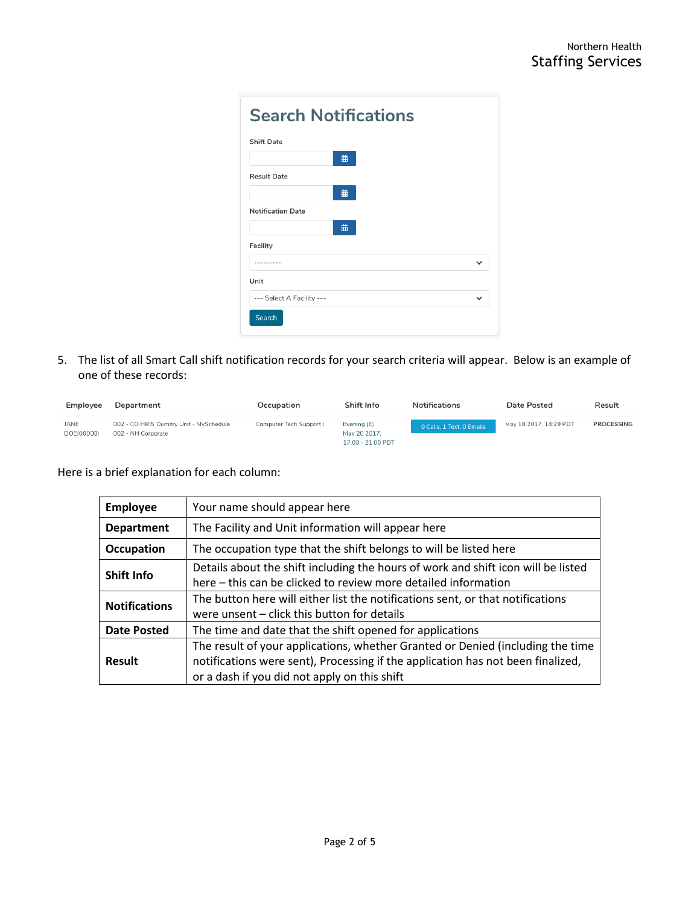| <b>Search Notifications</b> |   |  |             |
|-----------------------------|---|--|-------------|
| <b>Shift Date</b>           |   |  |             |
|                             | 齒 |  |             |
| <b>Result Date</b>          |   |  |             |
|                             | 齒 |  |             |
| <b>Notification Date</b>    |   |  |             |
|                             | 齒 |  |             |
| Facility                    |   |  |             |
| --------                    |   |  | $\check{ }$ |
| Unit                        |   |  |             |
| --- Select A Facility ---   |   |  | $\check{ }$ |
| Search                      |   |  |             |

5. The list of all Smart Call shift notification records for your search criteria will appear. Below is an example of one of these records:

| Employee           | Department                                                  | Occupation              | Shift Info                                       | <b>Notifications</b>      | Date Posted            | Result     |
|--------------------|-------------------------------------------------------------|-------------------------|--------------------------------------------------|---------------------------|------------------------|------------|
| JANE<br>DOE(00000) | 002 - CO HRIS Dummy Unit - MySchedule<br>002 - NH Corporate | Computer Tech Support I | Evening (E)<br>May 20 2017.<br>17:00 - 21:00 PDT | 0 Calls, 1 Text, 0 Emails | May 18 2017, 14:29 PDT | PROCESSING |

Here is a brief explanation for each column:

| <b>Employee</b>                                                                | Your name should appear here                                                      |  |
|--------------------------------------------------------------------------------|-----------------------------------------------------------------------------------|--|
| <b>Department</b>                                                              | The Facility and Unit information will appear here                                |  |
| Occupation                                                                     | The occupation type that the shift belongs to will be listed here                 |  |
| Shift Info                                                                     | Details about the shift including the hours of work and shift icon will be listed |  |
|                                                                                | here – this can be clicked to review more detailed information                    |  |
| <b>Notifications</b>                                                           | The button here will either list the notifications sent, or that notifications    |  |
|                                                                                | were unsent – click this button for details                                       |  |
| The time and date that the shift opened for applications<br><b>Date Posted</b> |                                                                                   |  |
|                                                                                | The result of your applications, whether Granted or Denied (including the time    |  |
| <b>Result</b>                                                                  | notifications were sent), Processing if the application has not been finalized,   |  |
|                                                                                | or a dash if you did not apply on this shift                                      |  |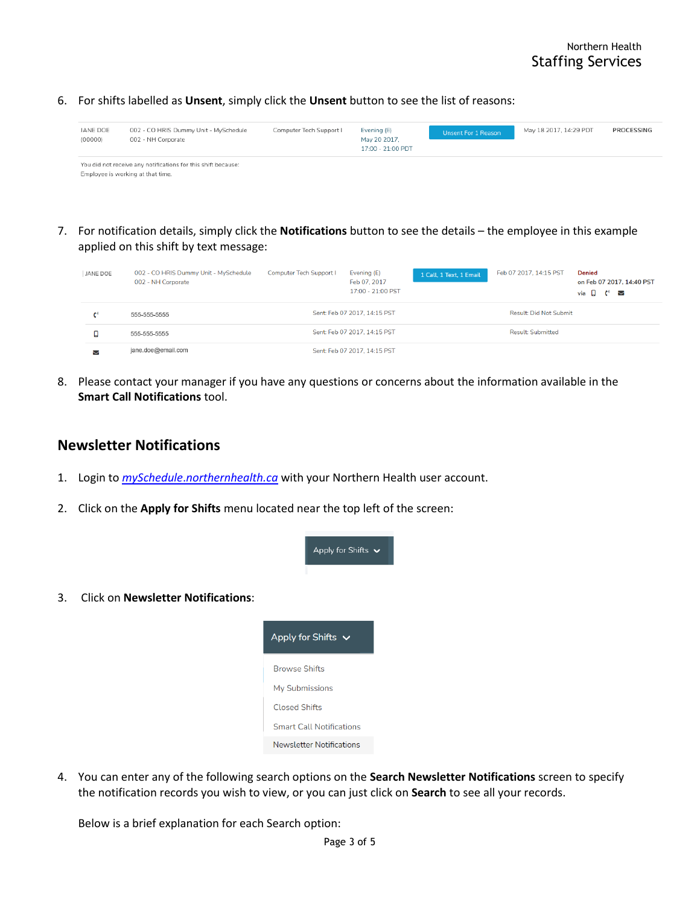6. For shifts labelled as **Unsent**, simply click the **Unsent** button to see the list of reasons:

| JANE DOE<br>(00000) | 002 - CO HRIS Dummy Unit - MySchedule<br>002 - NH Corporate                                        | Computer Tech Support I | Evening (E)<br>May 20 2017.<br>17:00 - 21:00 PDT | Unsent For 1 Reason | May 18 2017, 14:29 PDT | PROCESSING |
|---------------------|----------------------------------------------------------------------------------------------------|-------------------------|--------------------------------------------------|---------------------|------------------------|------------|
|                     | You did not receive any notifications for this shift because:<br>Employee is working at that time. |                         |                                                  |                     |                        |            |

7. For notification details, simply click the **Notifications** button to see the details – the employee in this example applied on this shift by text message:

| JANE DOE | 002 - CO HRIS Dummy Unit - MySchedule<br>002 - NH Corporate | Computer Tech Support I | Evening (E)<br>Feb 07, 2017<br>17:00 - 21:00 PST | 1 Call, 1 Text, 1 Email | Feb 07 2017, 14:15 PST        | <b>Denied</b><br>on Feb 07 2017, 14:40 PST<br>via $\Box$ (* $\triangleright$ |
|----------|-------------------------------------------------------------|-------------------------|--------------------------------------------------|-------------------------|-------------------------------|------------------------------------------------------------------------------|
|          | 555-555-5555                                                |                         | Sent: Feb 07 2017, 14:15 PST                     |                         | <b>Result: Did Not Submit</b> |                                                                              |
|          | 555-555-5555                                                |                         | Sent: Feb 07 2017, 14:15 PST                     |                         | <b>Result: Submitted</b>      |                                                                              |
| $\sim$   | jane.doe@email.com                                          |                         | Sent: Feb 07 2017, 14:15 PST                     |                         |                               |                                                                              |

8. Please contact your manager if you have any questions or concerns about the information available in the **Smart Call Notifications** tool.

## **Newsletter Notifications**

- 1. Login to *mySchedule*.*[northernhealth.ca](https://myschedule.northernhealth.ca/landing/?next=/employee/)* with your Northern Health user account.
- 2. Click on the **Apply for Shifts** menu located near the top left of the screen:



3. Click on **Newsletter Notifications**:

4. You can enter any of the following search options on the **Search Newsletter Notifications** screen to specify the notification records you wish to view, or you can just click on **Search** to see all your records.

Below is a brief explanation for each Search option: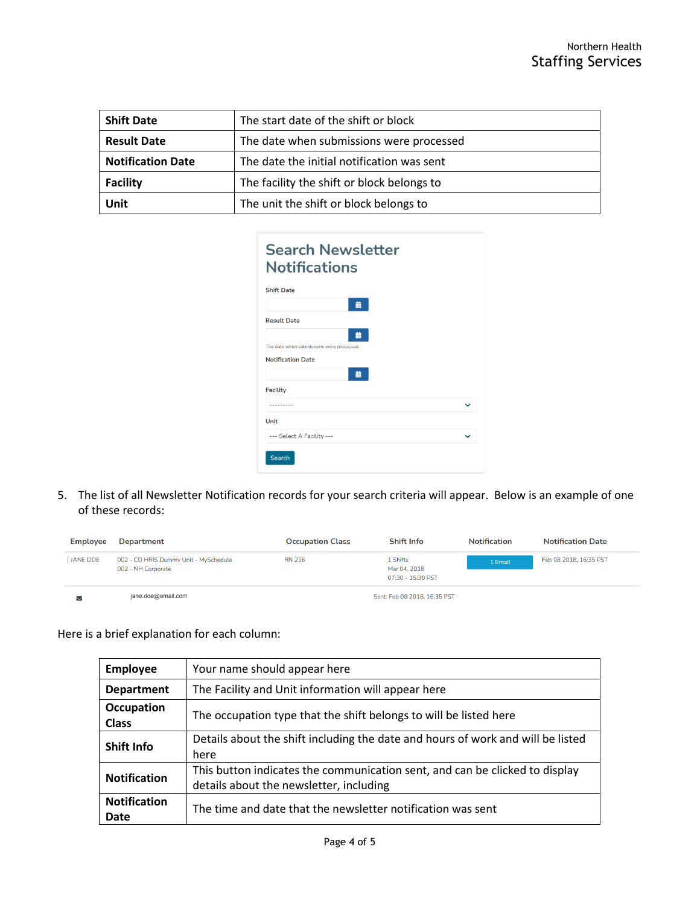| <b>Shift Date</b>                                             | The start date of the shift or block       |
|---------------------------------------------------------------|--------------------------------------------|
| <b>Result Date</b>                                            | The date when submissions were processed   |
| <b>Notification Date</b>                                      | The date the initial notification was sent |
| The facility the shift or block belongs to<br><b>Facility</b> |                                            |
| Unit                                                          | The unit the shift or block belongs to     |

| <b>Search Newsletter</b><br><b>Notifications</b> |              |
|--------------------------------------------------|--------------|
| <b>Shift Date</b>                                |              |
| 曲                                                |              |
| <b>Result Date</b>                               |              |
| 曲                                                |              |
| The date when submissions were processed.        |              |
| <b>Notification Date</b>                         |              |
| 曲                                                |              |
| <b>Facility</b>                                  |              |
| .                                                | $\checkmark$ |
| Unit                                             |              |
| --- Select A Facility ---                        | $\checkmark$ |
| Search                                           |              |

5. The list of all Newsletter Notification records for your search criteria will appear. Below is an example of one of these records:

| Employee | <b>Department</b>                                           | <b>Occupation Class</b> | <b>Shift Info</b>                             | <b>Notification</b> | <b>Notification Date</b> |
|----------|-------------------------------------------------------------|-------------------------|-----------------------------------------------|---------------------|--------------------------|
| JANE DOE | 002 - CO HRIS Dummy Unit - MySchedule<br>002 - NH Corporate | <b>RN 216</b>           | . Shifts<br>Mar 04, 2018<br>07:30 - 15:30 PST | 1 Email             | Feb 08 2018, 16:35 PST   |
| M        | jane.doe@email.com                                          |                         | Sent: Feb 08 2018, 16:35 PST                  |                     |                          |

Here is a brief explanation for each column:

| <b>Employee</b>                   | Your name should appear here                                                                                           |
|-----------------------------------|------------------------------------------------------------------------------------------------------------------------|
| <b>Department</b>                 | The Facility and Unit information will appear here                                                                     |
| <b>Occupation</b><br><b>Class</b> | The occupation type that the shift belongs to will be listed here                                                      |
| <b>Shift Info</b>                 | Details about the shift including the date and hours of work and will be listed<br>here                                |
| <b>Notification</b>               | This button indicates the communication sent, and can be clicked to display<br>details about the newsletter, including |
| <b>Notification</b><br>Date       | The time and date that the newsletter notification was sent                                                            |